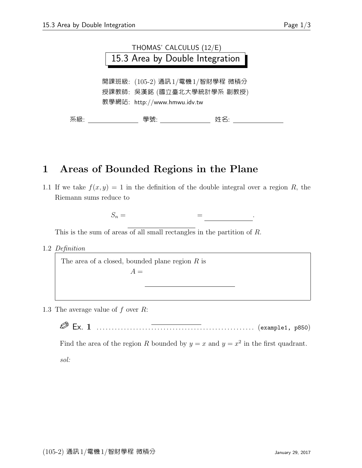

## 1 Areas of Bounded Regions in the Plane

1.1 If we take  $f(x, y) = 1$  in the definition of the double integral over a region R, the Riemann sums reduce to

$$
S_n = \qquad \qquad = \qquad \qquad .
$$

This is the sum of areas of all small rectangles in the partition of R.

1.2 Definition

The area of a closed, bounded plane region  $R$  is<br> $A =$  $A =$ 

1.3 The average value of  $f$  over  $R$ :

R Ex. 1 . . . . . . . . . . . . . . . . . . . . . . . . . . . . . . . . . . . . . . . . . . . . . . . . . . . . (example1, p850)

Find the area of the region R bounded by  $y = x$  and  $y = x^2$  in the first quadrant.

sol: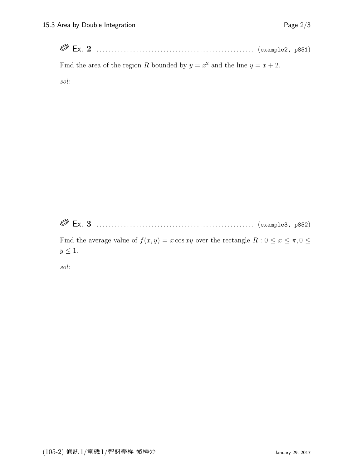Ex. 2 . . . . . . . . . . . . . . . . . . . . . . . . . . . . . . . . . . . . . . . . . . . . . . . . . . . . (example2, p851)

Find the area of the region R bounded by  $y = x^2$  and the line  $y = x + 2$ .

sol:

Ex. 3 . . . . . . . . . . . . . . . . . . . . . . . . . . . . . . . . . . . . . . . . . . . . . . . . . . . . (example3, p852)

Find the average value of  $f(x, y) = x \cos xy$  over the rectangle  $R : 0 \le x \le \pi, 0 \le x$  $y \leq 1$ .

sol: